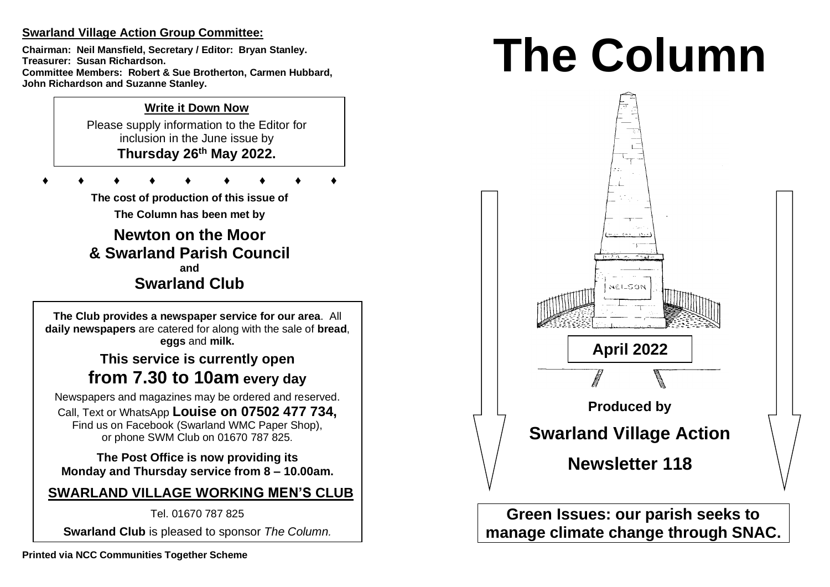## **Swarland Village Action Group Committee:**

**Chairman: Neil Mansfield, Secretary / Editor: Bryan Stanley. Treasurer: Susan Richardson. Committee Members: Robert & Sue Brotherton, Carmen Hubbard, John Richardson and Suzanne Stanley.** 

## **Write it Down Now**

Please supply information to the Editor for inclusion in the June issue by **Thursday 26 th May 2022.** 

 $\perp$ 

**♦ ♦ ♦ ♦ ♦ ♦ ♦ ♦ ♦**

**The cost of production of this issue of** 

**The Column has been met by**

**Newton on the Moor & Swarland Parish Council and Swarland Club**

**The Club provides a newspaper service for our area**. All **daily newspapers** are catered for along with the sale of **bread**, **eggs** and **milk.**

# **This service is currently open from 7.30 to 10am every day**

Newspapers and magazines may be ordered and reserved. Call, Text or WhatsApp **Louise on 07502 477 734,**  Find us on Facebook (Swarland WMC Paper Shop), or phone SWM Club on 01670 787 825.

**The Post Office is now providing its Monday and Thursday service from 8 – 10.00am.** 

# **SWARLAND VILLAGE WORKING MEN'S CLUB**

Tel. 01670 787 825

**Swarland Club** is pleased to sponsor *The Column.*

# **The Column**



**Green Issues: our parish seeks to manage climate change through SNAC.**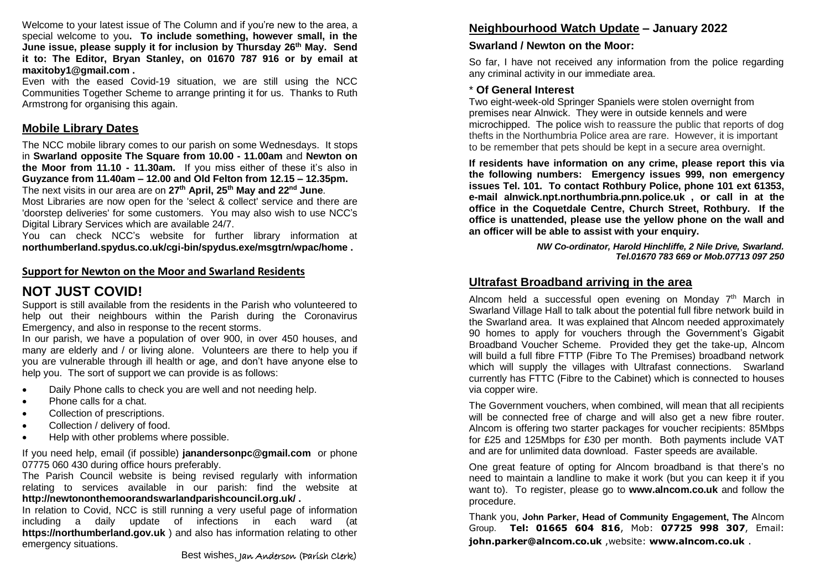Welcome to your latest issue of The Column and if you're new to the area, a special welcome to you**. To include something, however small, in the June issue, please supply it for inclusion by Thursday 26 th May. Send it to: The Editor, Bryan Stanley, on 01670 787 916 or by email at maxitoby1@gmail.com .**

Even with the eased Covid-19 situation, we are still using the NCC Communities Together Scheme to arrange printing it for us. Thanks to Ruth Armstrong for organising this again.

## **Mobile Library Dates**

The NCC mobile library comes to our parish on some Wednesdays. It stops in **Swarland opposite The Square from 10.00 - 11.00am** and **Newton on the Moor from 11.10 - 11.30am.** If you miss either of these it's also in **Guyzance from 11.40am – 12.00 and Old Felton from 12.15 – 12.35pm.**  The next visits in our area are on **27th April, 25th May and 22nd June**.

Most Libraries are now open for the 'select & collect' service and there are 'doorstep deliveries' for some customers. You may also wish to use NCC's Digital Library Services which are available 24/7.

You can check NCC's website for further library information at **northumberland.spydus.co.uk/cgi-bin/spydus.exe/msgtrn/wpac/home .**

#### **Support for Newton on the Moor and Swarland Residents**

## **NOT JUST COVID!**

Support is still available from the residents in the Parish who volunteered to help out their neighbours within the Parish during the Coronavirus Emergency, and also in response to the recent storms.

In our parish, we have a population of over 900, in over 450 houses, and many are elderly and / or living alone. Volunteers are there to help you if you are vulnerable through ill health or age, and don't have anyone else to help you. The sort of support we can provide is as follows:

- Daily Phone calls to check you are well and not needing help.
- Phone calls for a chat.
- Collection of prescriptions.
- Collection / delivery of food.
- Help with other problems where possible.

If you need help, email (if possible) **janandersonpc@gmail.com** or phone 07775 060 430 during office hours preferably.

The Parish Council website is being revised regularly with information relating to services available in our parish: find the website at **http://newtononthemoorandswarlandparishcouncil.org.uk/ .**

In relation to Covid, NCC is still running a very useful page of information including a daily update of infections in each ward (at **https://northumberland.gov.uk** ) and also has information relating to other emergency situations.

## **Neighbourhood Watch Update – January 2022**

## **Swarland / Newton on the Moor:**

So far, I have not received any information from the police regarding any criminal activity in our immediate area.

#### \* **Of General Interest**

Two eight-week-old Springer Spaniels were stolen overnight from premises near Alnwick. They were in outside kennels and were microchipped. The police wish to reassure the public that reports of dog thefts in the Northumbria Police area are rare. However, it is important to be remember that pets should be kept in a secure area overnight.

**If residents have information on any crime, please report this via the following numbers: Emergency issues 999, non emergency issues Tel. 101. To contact Rothbury Police, phone 101 ext 61353, e-mail alnwick.npt.northumbria.pnn.police.uk , or call in at the office in the Coquetdale Centre, Church Street, Rothbury. If the office is unattended, please use the yellow phone on the wall and an officer will be able to assist with your enquiry.** 

> *NW Co-ordinator, Harold Hinchliffe, 2 Nile Drive, Swarland. Tel.01670 783 669 or Mob.07713 097 250*

## **Ultrafast Broadband arriving in the area**

Alncom held a successful open evening on Monday  $7<sup>th</sup>$  March in Swarland Village Hall to talk about the potential full fibre network build in the Swarland area. It was explained that Alncom needed approximately 90 homes to apply for vouchers through the Government's Gigabit Broadband Voucher Scheme. Provided they get the take-up, Alncom will build a full fibre FTTP (Fibre To The Premises) broadband network which will supply the villages with Ultrafast connections. Swarland currently has FTTC (Fibre to the Cabinet) which is connected to houses via copper wire.

The Government vouchers, when combined, will mean that all recipients will be connected free of charge and will also get a new fibre router. Alncom is offering two starter packages for voucher recipients: 85Mbps for £25 and 125Mbps for £30 per month. Both payments include VAT and are for unlimited data download. Faster speeds are available.

One great feature of opting for Alncom broadband is that there's no need to maintain a landline to make it work (but you can keep it if you want to). To register, please go to **www.alncom.co.uk** and follow the procedure.

Thank you, **John Parker, Head of Community Engagement, The** Alncom Group. **Tel: 01665 604 816**, Mob: **07725 998 307**, Email: **john.parker@alncom.co.uk** ,website: **www.alncom.co.uk** .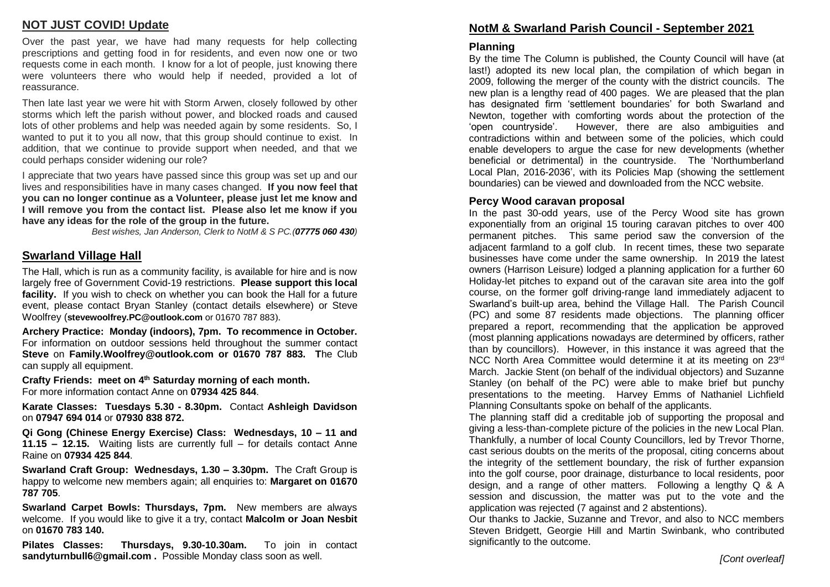## **NOT JUST COVID! Update**

Over the past year, we have had many requests for help collecting prescriptions and getting food in for residents, and even now one or two requests come in each month. I know for a lot of people, just knowing there were volunteers there who would help if needed, provided a lot of reassurance.

Then late last year we were hit with Storm Arwen, closely followed by other storms which left the parish without power, and blocked roads and caused lots of other problems and help was needed again by some residents. So, I wanted to put it to you all now, that this group should continue to exist. In addition, that we continue to provide support when needed, and that we could perhaps consider widening our role?

I appreciate that two years have passed since this group was set up and our lives and responsibilities have in many cases changed. **If you now feel that you can no longer continue as a Volunteer, please just let me know and I will remove you from the contact list. Please also let me know if you have any ideas for the role of the group in the future.**

*Best wishes, Jan Anderson, Clerk to NotM & S PC.(07775 060 430)*

## **Swarland Village Hall**

The Hall, which is run as a community facility, is available for hire and is now largely free of Government Covid-19 restrictions. **Please support this local facility.** If you wish to check on whether you can book the Hall for a future event, please contact Bryan Stanley (contact details elsewhere) or Steve Woolfrey (**stevewoolfrey.PC@outlook.com** or 01670 787 883).

**Archery Practice: Monday (indoors), 7pm. To recommence in October.**  For information on outdoor sessions held throughout the summer contact **Steve** on **Family.Woolfrey@outlook.com or 01670 787 883. T**he Club can supply all equipment.

**Crafty Friends: meet on 4 th Saturday morning of each month.** For more information contact Anne on **07934 425 844**.

**Karate Classes: Tuesdays 5.30 - 8.30pm.** Contact **Ashleigh Davidson** on **07947 694 014** or **07930 838 872.** 

**Qi Gong (Chinese Energy Exercise) Class: Wednesdays, 10 – 11 and 11.15 – 12.15.** Waiting lists are currently full – for details contact Anne Raine on **07934 425 844**.

**Swarland Craft Group: Wednesdays, 1.30 – 3.30pm.** The Craft Group is happy to welcome new members again; all enquiries to: **Margaret on 01670 787 705**.

**Swarland Carpet Bowls: Thursdays, 7pm.** New members are always welcome. If you would like to give it a try, contact **Malcolm or Joan Nesbit**  on **01670 783 140.** 

**Pilates Classes: Thursdays, 9.30-10.30am.** To join in contact **sandyturnbull6@gmail.com .** Possible Monday class soon as well.

## **NotM & Swarland Parish Council - September 2021**

#### **Planning**

By the time The Column is published, the County Council will have (at last!) adopted its new local plan, the compilation of which began in 2009, following the merger of the county with the district councils. The new plan is a lengthy read of 400 pages. We are pleased that the plan has designated firm 'settlement boundaries' for both Swarland and Newton, together with comforting words about the protection of the 'open countryside'. However, there are also ambiguities and contradictions within and between some of the policies, which could enable developers to argue the case for new developments (whether beneficial or detrimental) in the countryside. The 'Northumberland Local Plan, 2016-2036', with its Policies Map (showing the settlement boundaries) can be viewed and downloaded from the NCC website.

#### **Percy Wood caravan proposal**

In the past 30-odd years, use of the Percy Wood site has grown exponentially from an original 15 touring caravan pitches to over 400 permanent pitches. This same period saw the conversion of the adjacent farmland to a golf club. In recent times, these two separate businesses have come under the same ownership. In 2019 the latest owners (Harrison Leisure) lodged a planning application for a further 60 Holiday-let pitches to expand out of the caravan site area into the golf course, on the former golf driving-range land immediately adjacent to Swarland's built-up area, behind the Village Hall. The Parish Council (PC) and some 87 residents made objections. The planning officer prepared a report, recommending that the application be approved (most planning applications nowadays are determined by officers, rather than by councillors). However, in this instance it was agreed that the NCC North Area Committee would determine it at its meeting on 23rd March. Jackie Stent (on behalf of the individual objectors) and Suzanne Stanley (on behalf of the PC) were able to make brief but punchy presentations to the meeting. Harvey Emms of Nathaniel Lichfield Planning Consultants spoke on behalf of the applicants.

The planning staff did a creditable job of supporting the proposal and giving a less-than-complete picture of the policies in the new Local Plan. Thankfully, a number of local County Councillors, led by Trevor Thorne, cast serious doubts on the merits of the proposal, citing concerns about the integrity of the settlement boundary, the risk of further expansion into the golf course, poor drainage, disturbance to local residents, poor design, and a range of other matters. Following a lengthy Q & A session and discussion, the matter was put to the vote and the application was rejected (7 against and 2 abstentions).

Our thanks to Jackie, Suzanne and Trevor, and also to NCC members Steven Bridgett, Georgie Hill and Martin Swinbank, who contributed significantly to the outcome.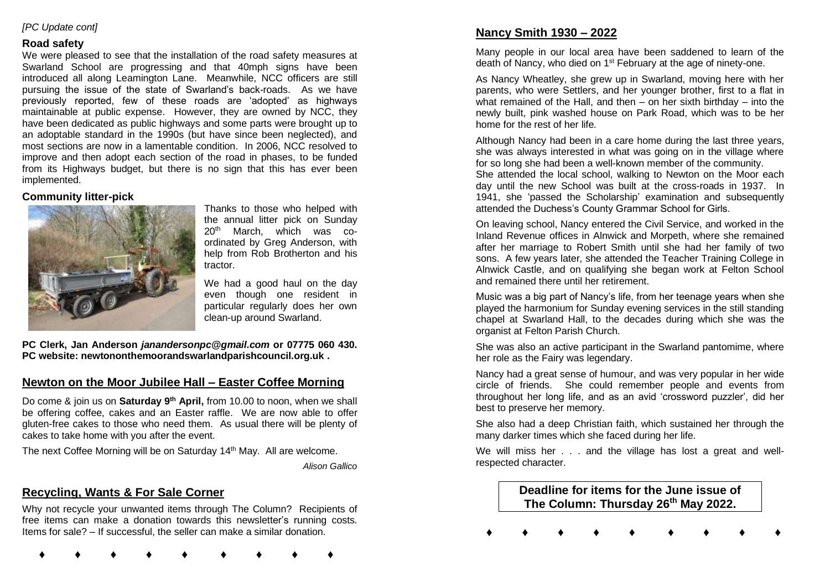#### *[PC Update cont]*

#### **Road safety**

We were pleased to see that the installation of the road safety measures at Swarland School are progressing and that 40mph signs have been introduced all along Leamington Lane. Meanwhile, NCC officers are still pursuing the issue of the state of Swarland's back-roads. As we have previously reported, few of these roads are 'adopted' as highways maintainable at public expense. However, they are owned by NCC, they have been dedicated as public highways and some parts were brought up to an adoptable standard in the 1990s (but have since been neglected), and most sections are now in a lamentable condition. In 2006, NCC resolved to improve and then adopt each section of the road in phases, to be funded from its Highways budget, but there is no sign that this has ever been implemented.

#### **Community litter-pick**



Thanks to those who helped with the annual litter pick on Sunday 20th March, which was coordinated by Greg Anderson, with help from Rob Brotherton and his tractor.

We had a good haul on the day even though one resident in particular regularly does her own clean-up around Swarland.

**PC Clerk, Jan Anderson** *janandersonpc@gmail.com* **or 07775 060 430. PC website: newtononthemoorandswarlandparishcouncil.org.uk .** 

## **Newton on the Moor Jubilee Hall – Easter Coffee Morning**

Do come & join us on **Saturday 9th April,** from 10.00 to noon, when we shall be offering coffee, cakes and an Easter raffle. We are now able to offer gluten-free cakes to those who need them. As usual there will be plenty of cakes to take home with you after the event.

The next Coffee Morning will be on Saturday 14<sup>th</sup> May. All are welcome.

*Alison Gallico*

## **Recycling, Wants & For Sale Corner**

Why not recycle your unwanted items through The Column? Recipients of free items can make a donation towards this newsletter's running costs. Items for sale? – If successful, the seller can make a similar donation.

**♦ ♦ ♦ ♦ ♦ ♦ ♦ ♦ ♦**

## **Nancy Smith 1930 – 2022**

Many people in our local area have been saddened to learn of the death of Nancy, who died on 1<sup>st</sup> February at the age of ninety-one.

As Nancy Wheatley, she grew up in Swarland, moving here with her parents, who were Settlers, and her younger brother, first to a flat in what remained of the Hall, and then – on her sixth birthday – into the newly built, pink washed house on Park Road, which was to be her home for the rest of her life.

Although Nancy had been in a care home during the last three years, she was always interested in what was going on in the village where for so long she had been a well-known member of the community.

She attended the local school, walking to Newton on the Moor each day until the new School was built at the cross-roads in 1937. In 1941, she 'passed the Scholarship' examination and subsequently attended the Duchess's County Grammar School for Girls.

On leaving school, Nancy entered the Civil Service, and worked in the Inland Revenue offices in Alnwick and Morpeth, where she remained after her marriage to Robert Smith until she had her family of two sons. A few years later, she attended the Teacher Training College in Alnwick Castle, and on qualifying she began work at Felton School and remained there until her retirement.

Music was a big part of Nancy's life, from her teenage years when she played the harmonium for Sunday evening services in the still standing chapel at Swarland Hall, to the decades during which she was the organist at Felton Parish Church.

She was also an active participant in the Swarland pantomime, where her role as the Fairy was legendary.

Nancy had a great sense of humour, and was very popular in her wide circle of friends. She could remember people and events from throughout her long life, and as an avid 'crossword puzzler', did her best to preserve her memory.

She also had a deep Christian faith, which sustained her through the many darker times which she faced during her life.

We will miss her . . . and the village has lost a great and wellrespected character.

> **Deadline for items for the June issue of The Column: Thursday 26 th May 2022.**

**♦ ♦ ♦ ♦ ♦ ♦ ♦ ♦ ♦**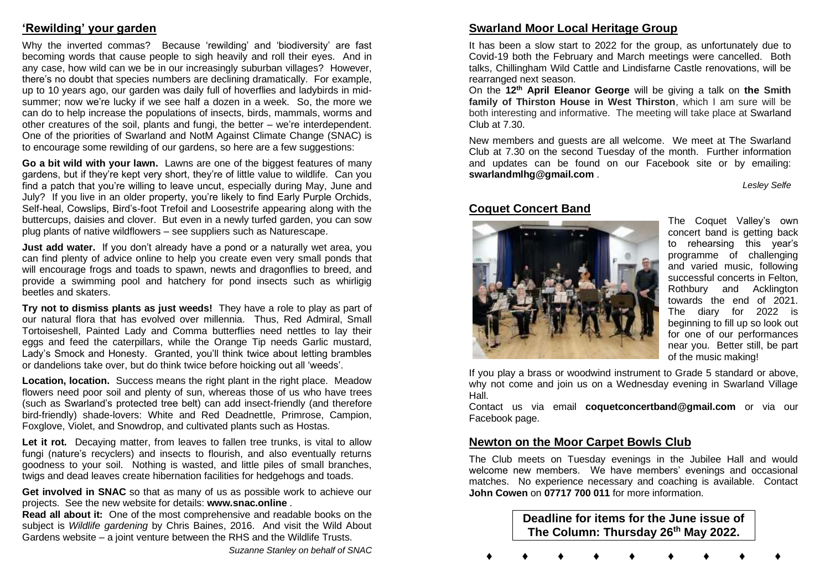## **'Rewilding' your garden**

Why the inverted commas? Because 'rewilding' and 'biodiversity' are fast becoming words that cause people to sigh heavily and roll their eyes. And in any case, how wild can we be in our increasingly suburban villages? However, there's no doubt that species numbers are declining dramatically. For example, up to 10 years ago, our garden was daily full of hoverflies and ladybirds in midsummer; now we're lucky if we see half a dozen in a week. So, the more we can do to help increase the populations of insects, birds, mammals, worms and other creatures of the soil, plants and fungi, the better – we're interdependent. One of the priorities of Swarland and NotM Against Climate Change (SNAC) is to encourage some rewilding of our gardens, so here are a few suggestions:

**Go a bit wild with your lawn.** Lawns are one of the biggest features of many gardens, but if they're kept very short, they're of little value to wildlife. Can you find a patch that you're willing to leave uncut, especially during May, June and July? If you live in an older property, you're likely to find Early Purple Orchids, Self-heal, Cowslips, Bird's-foot Trefoil and Loosestrife appearing along with the buttercups, daisies and clover. But even in a newly turfed garden, you can sow plug plants of native wildflowers – see suppliers such as Naturescape.

**Just add water.** If you don't already have a pond or a naturally wet area, you can find plenty of advice online to help you create even very small ponds that will encourage frogs and toads to spawn, newts and dragonflies to breed, and provide a swimming pool and hatchery for pond insects such as whirligig beetles and skaters.

**Try not to dismiss plants as just weeds!** They have a role to play as part of our natural flora that has evolved over millennia. Thus, Red Admiral, Small Tortoiseshell, Painted Lady and Comma butterflies need nettles to lay their eggs and feed the caterpillars, while the Orange Tip needs Garlic mustard, Lady's Smock and Honesty. Granted, you'll think twice about letting brambles or dandelions take over, but do think twice before hoicking out all 'weeds'.

**Location, location.** Success means the right plant in the right place. Meadow flowers need poor soil and plenty of sun, whereas those of us who have trees (such as Swarland's protected tree belt) can add insect-friendly (and therefore bird-friendly) shade-lovers: White and Red Deadnettle, Primrose, Campion, Foxglove, Violet, and Snowdrop, and cultivated plants such as Hostas.

Let it rot. Decaying matter, from leaves to fallen tree trunks, is vital to allow fungi (nature's recyclers) and insects to flourish, and also eventually returns goodness to your soil. Nothing is wasted, and little piles of small branches, twigs and dead leaves create hibernation facilities for hedgehogs and toads.

**Get involved in SNAC** so that as many of us as possible work to achieve our projects. See the new website for details: **www.snac.online** .

**Read all about it:** One of the most comprehensive and readable books on the subject is *Wildlife gardening* by Chris Baines, 2016. And visit the Wild About Gardens website – a joint venture between the RHS and the Wildlife Trusts.

*Suzanne Stanley on behalf of SNAC*

## **Swarland Moor Local Heritage Group**

It has been a slow start to 2022 for the group, as unfortunately due to Covid-19 both the February and March meetings were cancelled. Both talks, Chillingham Wild Cattle and Lindisfarne Castle renovations, will be rearranged next season.

On the **12th April Eleanor George** will be giving a talk on **the Smith family of Thirston House in West Thirston**, which I am sure will be both interesting and informative. The meeting will take place at Swarland Club at 7.30.

New members and guests are all welcome. We meet at The Swarland Club at 7.30 on the second Tuesday of the month. Further information and updates can be found on our Facebook site or by emailing: **swarlandmlhg@gmail.com** .

*Lesley Selfe*

## **Coquet Concert Band**



The Coquet Valley's own concert band is getting back to rehearsing this year's programme of challenging and varied music, following successful concerts in Felton, Rothbury and Acklington towards the end of 2021. The diary for 2022 is beginning to fill up so look out for one of our performances near you. Better still, be part of the music making!

If you play a brass or woodwind instrument to Grade 5 standard or above, why not come and join us on a Wednesday evening in Swarland Village Hall.

Contact us via email **coquetconcertband@gmail.com** or via our Facebook page.

## **Newton on the Moor Carpet Bowls Club**

The Club meets on Tuesday evenings in the Jubilee Hall and would welcome new members. We have members' evenings and occasional matches. No experience necessary and coaching is available. Contact **John Cowen** on **07717 700 011** for more information.

> **Deadline for items for the June issue of The Column: Thursday 26 th May 2022.**

**♦ ♦ ♦ ♦ ♦ ♦ ♦ ♦ ♦**